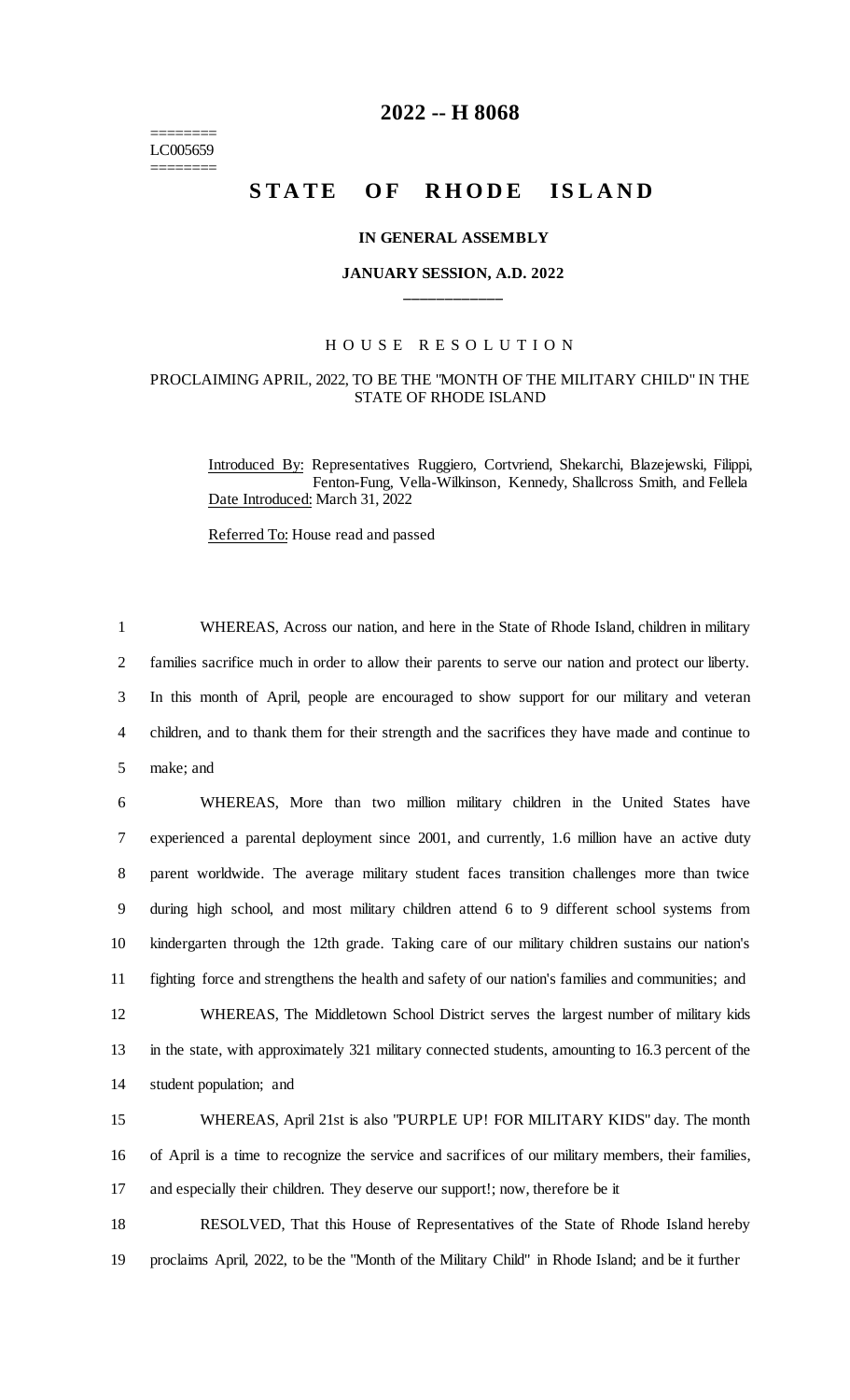======== LC005659 ========

# **2022 -- H 8068**

# **STATE OF RHODE ISLAND**

#### **IN GENERAL ASSEMBLY**

# **JANUARY SESSION, A.D. 2022 \_\_\_\_\_\_\_\_\_\_\_\_**

### H O U S E R E S O L U T I O N

## PROCLAIMING APRIL, 2022, TO BE THE "MONTH OF THE MILITARY CHILD" IN THE STATE OF RHODE ISLAND

Introduced By: Representatives Ruggiero, Cortvriend, Shekarchi, Blazejewski, Filippi, Fenton-Fung, Vella-Wilkinson, Kennedy, Shallcross Smith, and Fellela Date Introduced: March 31, 2022

Referred To: House read and passed

 WHEREAS, Across our nation, and here in the State of Rhode Island, children in military families sacrifice much in order to allow their parents to serve our nation and protect our liberty. In this month of April, people are encouraged to show support for our military and veteran children, and to thank them for their strength and the sacrifices they have made and continue to make; and

 WHEREAS, More than two million military children in the United States have experienced a parental deployment since 2001, and currently, 1.6 million have an active duty parent worldwide. The average military student faces transition challenges more than twice during high school, and most military children attend 6 to 9 different school systems from kindergarten through the 12th grade. Taking care of our military children sustains our nation's fighting force and strengthens the health and safety of our nation's families and communities; and WHEREAS, The Middletown School District serves the largest number of military kids in the state, with approximately 321 military connected students, amounting to 16.3 percent of the student population; and

15 WHEREAS, April 21st is also "PURPLE UP! FOR MILITARY KIDS" day. The month 16 of April is a time to recognize the service and sacrifices of our military members, their families, 17 and especially their children. They deserve our support!; now, therefore be it

18 RESOLVED, That this House of Representatives of the State of Rhode Island hereby 19 proclaims April, 2022, to be the "Month of the Military Child" in Rhode Island; and be it further